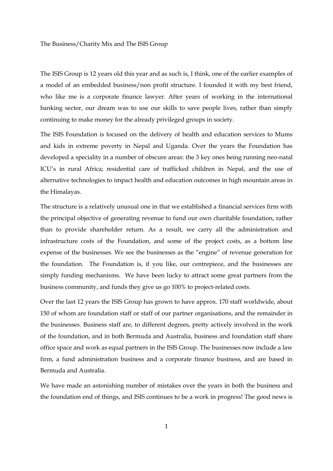The ISIS Group is 12 years old this year and as such is, I think, one of the earlier examples of a model of an embedded business/non profit structure. I founded it with my best friend, who like me is a corporate finance lawyer. After years of working in the international banking sector, our dream was to use our skills to save people lives, rather than simply continuing to make money for the already privileged groups in society.

The ISIS Foundation is focused on the delivery of health and education services to Mums and kids in extreme poverty in Nepal and Uganda. Over the years the Foundation has developed a speciality in a number of obscure areas: the 3 key ones being running neo-natal ICU's in rural Africa; residential care of trafficked children in Nepal, and the use of alternative technologies to impact health and education outcomes in high mountain areas in the Himalayas.

The structure is a relatively unusual one in that we established a financial services firm with the principal objective of generating revenue to fund our own charitable foundation, rather than to provide shareholder return. As a result, we carry all the administration and infrastructure costs of the Foundation, and some of the project costs, as a bottom line expense of the businesses. We see the businesses as the "engine" of revenue generation for the foundation. The Foundation is, if you like, our centrepiece, and the businesses are simply funding mechanisms. We have been lucky to attract some great partners from the business community, and funds they give us go 100% to project-related costs.

Over the last 12 years the ISIS Group has grown to have approx. 170 staff worldwide, about 150 of whom are foundation staff or staff of our partner organisations, and the remainder in the businesses. Business staff are, to different degrees, pretty actively involved in the work of the foundation, and in both Bermuda and Australia, business and foundation staff share office space and work as equal partners in the ISIS Group. The businesses now include a law firm, a fund administration business and a corporate finance business, and are based in Bermuda and Australia.

We have made an astonishing number of mistakes over the years in both the business and the foundation end of things, and ISIS continues to be a work in progress! The good news is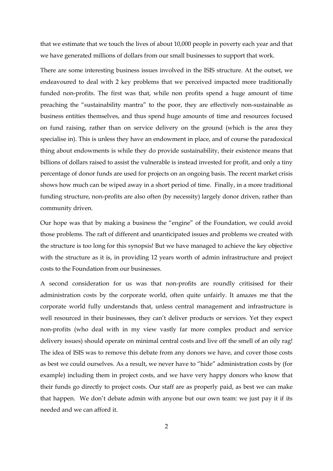that we estimate that we touch the lives of about 10,000 people in poverty each year and that we have generated millions of dollars from our small businesses to support that work.

There are some interesting business issues involved in the ISIS structure. At the outset, we endeavoured to deal with 2 key problems that we perceived impacted more traditionally funded non-profits. The first was that, while non profits spend a huge amount of time preaching the "sustainability mantra" to the poor, they are effectively non-sustainable as business entities themselves, and thus spend huge amounts of time and resources focused on fund raising, rather than on service delivery on the ground (which is the area they specialise in). This is unless they have an endowment in place, and of course the paradoxical thing about endowments is while they do provide sustainability, their existence means that billions of dollars raised to assist the vulnerable is instead invested for profit, and only a tiny percentage of donor funds are used for projects on an ongoing basis. The recent market crisis shows how much can be wiped away in a short period of time. Finally, in a more traditional funding structure, non-profits are also often (by necessity) largely donor driven, rather than community driven.

Our hope was that by making a business the "engine" of the Foundation, we could avoid those problems. The raft of different and unanticipated issues and problems we created with the structure is too long for this synopsis! But we have managed to achieve the key objective with the structure as it is, in providing 12 years worth of admin infrastructure and project costs to the Foundation from our businesses.

A second consideration for us was that non-profits are roundly critisised for their administration costs by the corporate world, often quite unfairly. It amazes me that the corporate world fully understands that, unless central management and infrastructure is well resourced in their businesses, they can't deliver products or services. Yet they expect non-profits (who deal with in my view vastly far more complex product and service delivery issues) should operate on minimal central costs and live off the smell of an oily rag! The idea of ISIS was to remove this debate from any donors we have, and cover those costs as best we could ourselves. As a result, we never have to "hide" administration costs by (for example) including them in project costs, and we have very happy donors who know that their funds go directly to project costs. Our staff are as properly paid, as best we can make that happen. We don't debate admin with anyone but our own team: we just pay it if its needed and we can afford it.